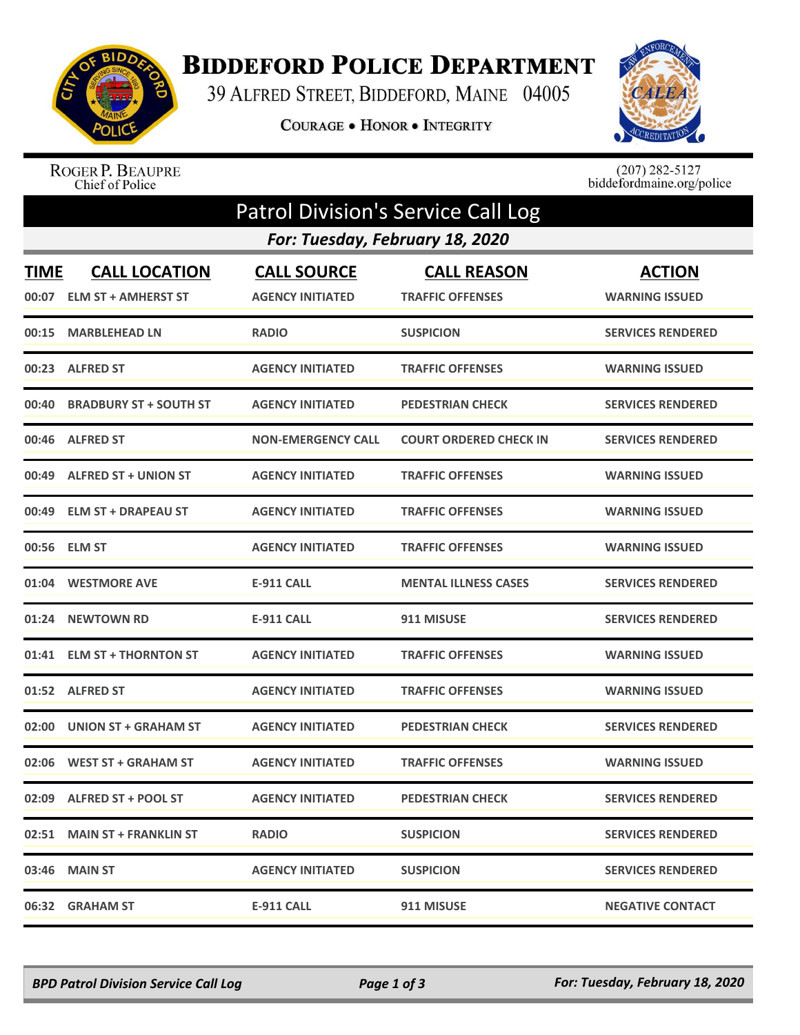

## **BIDDEFORD POLICE DEPARTMENT**

39 ALFRED STREET, BIDDEFORD, MAINE 04005

COURAGE . HONOR . INTEGRITY



ROGER P. BEAUPRE<br>Chief of Police

 $(207)$  282-5127<br>biddefordmaine.org/police

| <b>Patrol Division's Service Call Log</b> |                                                    |                                               |                                               |                                        |  |  |  |  |
|-------------------------------------------|----------------------------------------------------|-----------------------------------------------|-----------------------------------------------|----------------------------------------|--|--|--|--|
| For: Tuesday, February 18, 2020           |                                                    |                                               |                                               |                                        |  |  |  |  |
| <b>TIME</b><br>00:07                      | <b>CALL LOCATION</b><br><b>ELM ST + AMHERST ST</b> | <b>CALL SOURCE</b><br><b>AGENCY INITIATED</b> | <b>CALL REASON</b><br><b>TRAFFIC OFFENSES</b> | <b>ACTION</b><br><b>WARNING ISSUED</b> |  |  |  |  |
| 00:15                                     | <b>MARBLEHEAD LN</b>                               | <b>RADIO</b>                                  | <b>SUSPICION</b>                              | <b>SERVICES RENDERED</b>               |  |  |  |  |
|                                           | 00:23 ALFRED ST                                    | <b>AGENCY INITIATED</b>                       | <b>TRAFFIC OFFENSES</b>                       | <b>WARNING ISSUED</b>                  |  |  |  |  |
| 00:40                                     | <b>BRADBURY ST + SOUTH ST</b>                      | <b>AGENCY INITIATED</b>                       | <b>PEDESTRIAN CHECK</b>                       | <b>SERVICES RENDERED</b>               |  |  |  |  |
| 00:46                                     | <b>ALFRED ST</b>                                   | <b>NON-EMERGENCY CALL</b>                     | <b>COURT ORDERED CHECK IN</b>                 | <b>SERVICES RENDERED</b>               |  |  |  |  |
| 00:49                                     | <b>ALFRED ST + UNION ST</b>                        | <b>AGENCY INITIATED</b>                       | <b>TRAFFIC OFFENSES</b>                       | <b>WARNING ISSUED</b>                  |  |  |  |  |
| 00:49                                     | <b>ELM ST + DRAPEAU ST</b>                         | <b>AGENCY INITIATED</b>                       | <b>TRAFFIC OFFENSES</b>                       | <b>WARNING ISSUED</b>                  |  |  |  |  |
| 00:56                                     | <b>ELM ST</b>                                      | <b>AGENCY INITIATED</b>                       | <b>TRAFFIC OFFENSES</b>                       | <b>WARNING ISSUED</b>                  |  |  |  |  |
|                                           | 01:04 WESTMORE AVE                                 | E-911 CALL                                    | <b>MENTAL ILLNESS CASES</b>                   | <b>SERVICES RENDERED</b>               |  |  |  |  |
| 01:24                                     | <b>NEWTOWN RD</b>                                  | <b>E-911 CALL</b>                             | 911 MISUSE                                    | <b>SERVICES RENDERED</b>               |  |  |  |  |
| 01:41                                     | <b>ELM ST + THORNTON ST</b>                        | <b>AGENCY INITIATED</b>                       | <b>TRAFFIC OFFENSES</b>                       | <b>WARNING ISSUED</b>                  |  |  |  |  |
| 01:52                                     | <b>ALFRED ST</b>                                   | <b>AGENCY INITIATED</b>                       | <b>TRAFFIC OFFENSES</b>                       | <b>WARNING ISSUED</b>                  |  |  |  |  |
| 02:00                                     | <b>UNION ST + GRAHAM ST</b>                        | <b>AGENCY INITIATED</b>                       | <b>PEDESTRIAN CHECK</b>                       | <b>SERVICES RENDERED</b>               |  |  |  |  |
| 02:06                                     | <b>WEST ST + GRAHAM ST</b>                         | <b>AGENCY INITIATED</b>                       | <b>TRAFFIC OFFENSES</b>                       | <b>WARNING ISSUED</b>                  |  |  |  |  |
|                                           | 02:09 ALFRED ST + POOL ST                          | <b>AGENCY INITIATED</b>                       | <b>PEDESTRIAN CHECK</b>                       | <b>SERVICES RENDERED</b>               |  |  |  |  |
|                                           | 02:51 MAIN ST + FRANKLIN ST                        | <b>RADIO</b>                                  | <b>SUSPICION</b>                              | <b>SERVICES RENDERED</b>               |  |  |  |  |
|                                           | 03:46 MAIN ST                                      | <b>AGENCY INITIATED</b>                       | <b>SUSPICION</b>                              | <b>SERVICES RENDERED</b>               |  |  |  |  |
| 06:32                                     | <b>GRAHAM ST</b>                                   | <b>E-911 CALL</b>                             | 911 MISUSE                                    | <b>NEGATIVE CONTACT</b>                |  |  |  |  |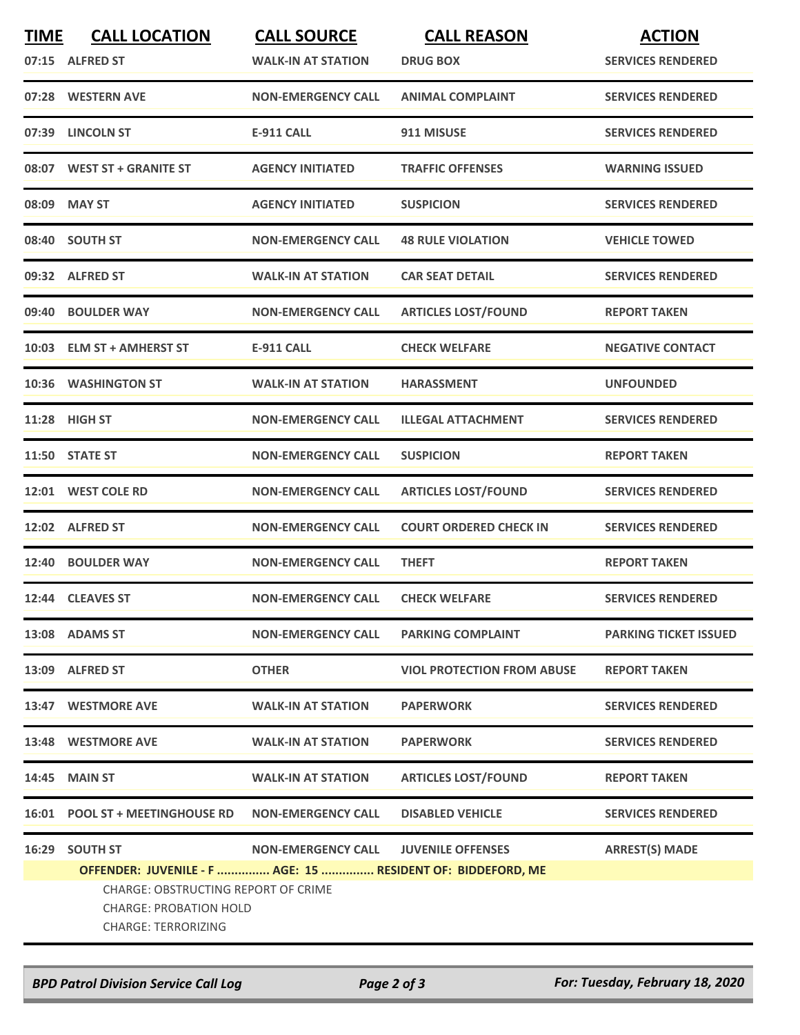| <b>TIME</b> | <b>CALL LOCATION</b><br>07:15 ALFRED ST                                                                                                                                              | <b>CALL SOURCE</b><br><b>WALK-IN AT STATION</b> | <b>CALL REASON</b><br><b>DRUG BOX</b> | <b>ACTION</b><br><b>SERVICES RENDERED</b> |
|-------------|--------------------------------------------------------------------------------------------------------------------------------------------------------------------------------------|-------------------------------------------------|---------------------------------------|-------------------------------------------|
|             | 07:28 WESTERN AVE                                                                                                                                                                    | <b>NON-EMERGENCY CALL</b>                       | <b>ANIMAL COMPLAINT</b>               | <b>SERVICES RENDERED</b>                  |
|             | 07:39 LINCOLN ST                                                                                                                                                                     | <b>E-911 CALL</b>                               | 911 MISUSE                            | <b>SERVICES RENDERED</b>                  |
|             | 08:07 WEST ST + GRANITE ST                                                                                                                                                           | <b>AGENCY INITIATED</b>                         | <b>TRAFFIC OFFENSES</b>               | <b>WARNING ISSUED</b>                     |
|             | 08:09 MAY ST                                                                                                                                                                         | <b>AGENCY INITIATED</b>                         | <b>SUSPICION</b>                      | <b>SERVICES RENDERED</b>                  |
|             | 08:40 SOUTH ST                                                                                                                                                                       | <b>NON-EMERGENCY CALL</b>                       | <b>48 RULE VIOLATION</b>              | <b>VEHICLE TOWED</b>                      |
|             | 09:32 ALFRED ST                                                                                                                                                                      | <b>WALK-IN AT STATION</b>                       | <b>CAR SEAT DETAIL</b>                | <b>SERVICES RENDERED</b>                  |
|             | 09:40 BOULDER WAY                                                                                                                                                                    | <b>NON-EMERGENCY CALL</b>                       | <b>ARTICLES LOST/FOUND</b>            | <b>REPORT TAKEN</b>                       |
|             | 10:03 ELM ST + AMHERST ST                                                                                                                                                            | <b>E-911 CALL</b>                               | <b>CHECK WELFARE</b>                  | <b>NEGATIVE CONTACT</b>                   |
|             | 10:36 WASHINGTON ST                                                                                                                                                                  | <b>WALK-IN AT STATION</b>                       | <b>HARASSMENT</b>                     | <b>UNFOUNDED</b>                          |
|             | 11:28 HIGH ST                                                                                                                                                                        | <b>NON-EMERGENCY CALL</b>                       | <b>ILLEGAL ATTACHMENT</b>             | <b>SERVICES RENDERED</b>                  |
|             | 11:50 STATE ST                                                                                                                                                                       | <b>NON-EMERGENCY CALL</b>                       | <b>SUSPICION</b>                      | <b>REPORT TAKEN</b>                       |
|             | 12:01 WEST COLE RD                                                                                                                                                                   | <b>NON-EMERGENCY CALL</b>                       | <b>ARTICLES LOST/FOUND</b>            | <b>SERVICES RENDERED</b>                  |
|             | 12:02 ALFRED ST                                                                                                                                                                      | <b>NON-EMERGENCY CALL</b>                       | <b>COURT ORDERED CHECK IN</b>         | <b>SERVICES RENDERED</b>                  |
|             | 12:40 BOULDER WAY                                                                                                                                                                    | <b>NON-EMERGENCY CALL</b>                       | <b>THEFT</b>                          | <b>REPORT TAKEN</b>                       |
|             | 12:44 CLEAVES ST                                                                                                                                                                     | <b>NON-EMERGENCY CALL</b>                       | <b>CHECK WELFARE</b>                  | <b>SERVICES RENDERED</b>                  |
|             | 13:08 ADAMS ST                                                                                                                                                                       | <b>NON-EMERGENCY CALL</b>                       | <b>PARKING COMPLAINT</b>              | <b>PARKING TICKET ISSUED</b>              |
|             | 13:09 ALFRED ST                                                                                                                                                                      | <b>OTHER</b>                                    | <b>VIOL PROTECTION FROM ABUSE</b>     | <b>REPORT TAKEN</b>                       |
|             | 13:47 WESTMORE AVE                                                                                                                                                                   | <b>WALK-IN AT STATION</b>                       | <b>PAPERWORK</b>                      | <b>SERVICES RENDERED</b>                  |
|             | 13:48 WESTMORE AVE                                                                                                                                                                   | <b>WALK-IN AT STATION</b>                       | <b>PAPERWORK</b>                      | <b>SERVICES RENDERED</b>                  |
|             | 14:45 MAIN ST                                                                                                                                                                        | <b>WALK-IN AT STATION</b>                       | <b>ARTICLES LOST/FOUND</b>            | <b>REPORT TAKEN</b>                       |
|             | 16:01 POOL ST + MEETINGHOUSE RD NON-EMERGENCY CALL                                                                                                                                   |                                                 | <b>DISABLED VEHICLE</b>               | <b>SERVICES RENDERED</b>                  |
| 16:29       | <b>SOUTH ST</b><br>OFFENDER: JUVENILE - F  AGE: 15  RESIDENT OF: BIDDEFORD, ME<br><b>CHARGE: OBSTRUCTING REPORT OF CRIME</b><br>CHARGE: PROBATION HOLD<br><b>CHARGE: TERRORIZING</b> | NON-EMERGENCY CALL JUVENILE OFFENSES            |                                       | <b>ARREST(S) MADE</b>                     |